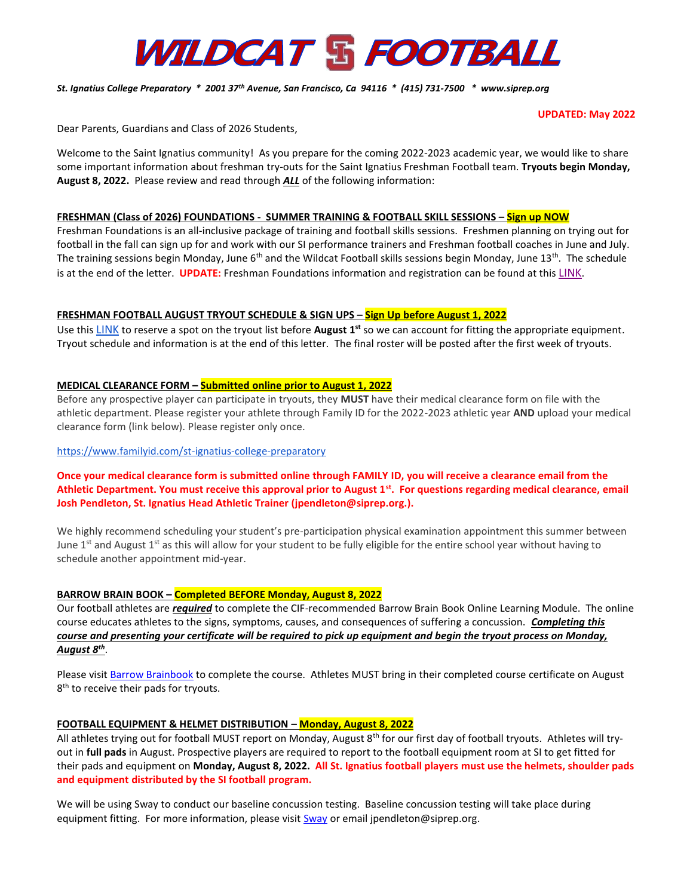# **WILDCAT & FOOTBALL**

## *St. Ignatius College Preparatory \* 2001 37th Avenue, San Francisco, Ca 94116 \* (415) 731-7500 \* www.siprep.org*

#### **UPDATED: May 2022**

Dear Parents, Guardians and Class of 2026 Students,

Welcome to the Saint Ignatius community! As you prepare for the coming 2022-2023 academic year, we would like to share some important information about freshman try-outs for the Saint Ignatius Freshman Football team. **Tryouts begin Monday, August 8, 2022.** Please review and read through *ALL* of the following information:

### **FRESHMAN (Class of 2026) FOUNDATIONS - SUMMER TRAINING & FOOTBALL SKILL SESSIONS – Sign up NOW**

Freshman Foundations is an all-inclusive package of training and football skills sessions. Freshmen planning on trying out for football in the fall can sign up for and work with our SI performance trainers and Freshman football coaches in June and July. The training sessions begin Monday, June 6<sup>th</sup> and the Wildcat Football skills sessions begin Monday, June 13<sup>th</sup>. The schedule is at the end of the letter. **UPDATE:** Freshman Foundations information and registration can be found at this [LINK](https://www.siprep.org/athletics/freshman-foundations-2022).

## **FRESHMAN FOOTBALL AUGUST TRYOUT SCHEDULE & SIGN UPS – Sign Up before August 1, 2022**

Use this [LINK](https://docs.google.com/forms/d/e/1FAIpQLSch_xY3QoOVxAMC9U-kokyId3y0AWceFjQwuSTyUiXVb3fT1A/viewform?usp=sf_link) to reserve a spot on the tryout list before **August 1st** so we can account for fitting the appropriate equipment. Tryout schedule and information is at the end of this letter. The final roster will be posted after the first week of tryouts.

## **MEDICAL CLEARANCE FORM – Submitted online prior to August 1, 2022**

Before any prospective player can participate in tryouts, they **MUST** have their medical clearance form on file with the athletic department. Please register your athlete through Family ID for the 2022-2023 athletic year **AND** upload your medical clearance form (link below). Please register only once.

### <https://www.familyid.com/st-ignatius-college-preparatory>

## **Once your medical clearance form is submitted online through FAMILY ID, you will receive a clearance email from the Athletic Department. You must receive this approval prior to August 1st. For questions regarding medical clearance, email Josh Pendleton, St. Ignatius Head Athletic Trainer (jpendleton@siprep.org.).**

We highly recommend scheduling your student's pre-participation physical examination appointment this summer between June  $1<sup>st</sup>$  and August  $1<sup>st</sup>$  as this will allow for your student to be fully eligible for the entire school year without having to schedule another appointment mid-year.

### **BARROW BRAIN BOOK – Completed BEFORE Monday, August 8, 2022**

Our football athletes are *required* to complete the CIF-recommended Barrow Brain Book Online Learning Module. The online course educates athletes to the signs, symptoms, causes, and consequences of suffering a concussion. *Completing this course and presenting your certificate will be required to pick up equipment and begin the tryout process on Monday, August 8th* .

Please visi[t Barrow Brainbook](https://learn.barrowneuro.org/login/index.php) to complete the course. Athletes MUST bring in their completed course certificate on August 8<sup>th</sup> to receive their pads for tryouts.

### **FOOTBALL EQUIPMENT & HELMET DISTRIBUTION – Monday, August 8, 2022**

All athletes trying out for football MUST report on Monday, August  $8<sup>th</sup>$  for our first day of football tryouts. Athletes will tryout in **full pads** in August. Prospective players are required to report to the football equipment room at SI to get fitted for their pads and equipment on **Monday, August 8, 2022. All St. Ignatius football players must use the helmets, shoulder pads and equipment distributed by the SI football program.**

We will be using Sway to conduct our baseline concussion testing. Baseline concussion testing will take place during equipment fitting. For more information, please visit **Sway** or email jpendleton@siprep.org.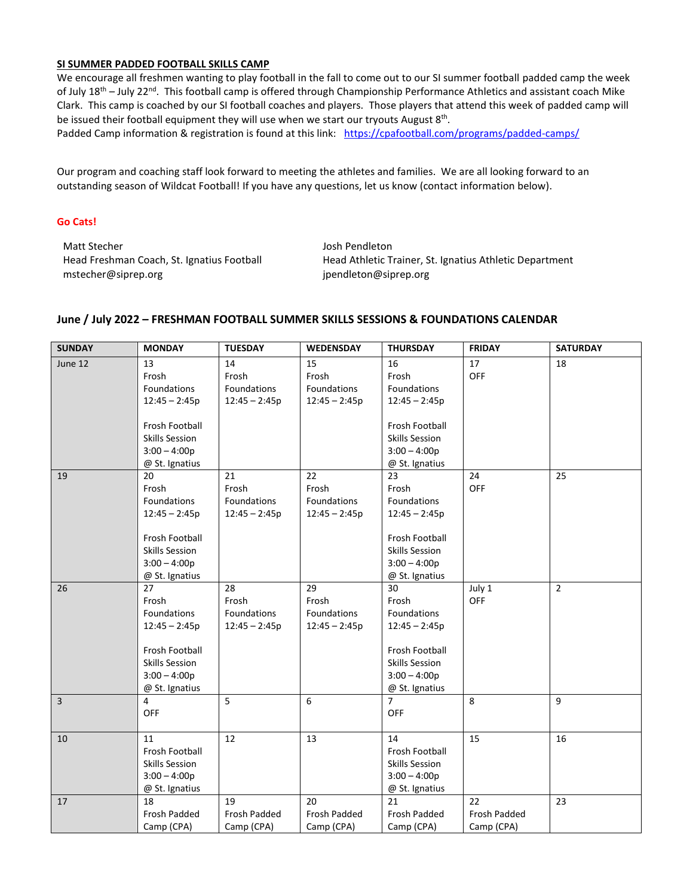## **SI SUMMER PADDED FOOTBALL SKILLS CAMP**

We encourage all freshmen wanting to play football in the fall to come out to our SI summer football padded camp the week of July 18<sup>th</sup> – July 22<sup>nd</sup>. This football camp is offered through Championship Performance Athletics and assistant coach Mike Clark. This camp is coached by our SI football coaches and players. Those players that attend this week of padded camp will be issued their football equipment they will use when we start our tryouts August 8<sup>th</sup>.

Padded Camp information & registration is found at this link: <https://cpafootball.com/programs/padded-camps/>

Our program and coaching staff look forward to meeting the athletes and families. We are all looking forward to an outstanding season of Wildcat Football! If you have any questions, let us know (contact information below).

### **Go Cats!**

Matt Stecher Head Freshman Coach, St. Ignatius Football mstecher@siprep.org

Josh Pendleton Head Athletic Trainer, St. Ignatius Athletic Department jpendleton@siprep.org

## **June / July 2022 – FRESHMAN FOOTBALL SUMMER SKILLS SESSIONS & FOUNDATIONS CALENDAR**

| <b>SUNDAY</b> | <b>MONDAY</b>         | <b>TUESDAY</b>  | <b>WEDENSDAY</b>   | <b>THURSDAY</b>       | <b>FRIDAY</b> | <b>SATURDAY</b> |
|---------------|-----------------------|-----------------|--------------------|-----------------------|---------------|-----------------|
| June 12       | 13                    | 14              | 15                 | 16                    | 17            | 18              |
|               | Frosh                 | Frosh           | Frosh              | Frosh                 | OFF           |                 |
|               | Foundations           | Foundations     | <b>Foundations</b> | Foundations           |               |                 |
|               | $12:45 - 2:45p$       | $12:45 - 2:45p$ | $12:45 - 2:45p$    | $12:45 - 2:45p$       |               |                 |
|               |                       |                 |                    |                       |               |                 |
|               | Frosh Football        |                 |                    | Frosh Football        |               |                 |
|               | <b>Skills Session</b> |                 |                    | Skills Session        |               |                 |
|               | $3:00 - 4:00p$        |                 |                    | $3:00 - 4:00p$        |               |                 |
|               | @ St. Ignatius        |                 |                    | @ St. Ignatius        |               |                 |
| 19            | 20                    | 21              | 22                 | 23                    | 24            | 25              |
|               | Frosh                 | Frosh           | Frosh              | Frosh                 | OFF           |                 |
|               | Foundations           | Foundations     | Foundations        | Foundations           |               |                 |
|               | $12:45 - 2:45p$       | $12:45 - 2:45p$ | $12:45 - 2:45p$    | $12:45 - 2:45p$       |               |                 |
|               | Frosh Football        |                 |                    | Frosh Football        |               |                 |
|               | <b>Skills Session</b> |                 |                    | <b>Skills Session</b> |               |                 |
|               | $3:00 - 4:00p$        |                 |                    | $3:00 - 4:00p$        |               |                 |
|               | @ St. Ignatius        |                 |                    | @ St. Ignatius        |               |                 |
| 26            | 27                    | 28              | $\overline{29}$    | 30                    | July 1        | $\overline{2}$  |
|               | Frosh                 | Frosh           | Frosh              | Frosh                 | OFF           |                 |
|               | Foundations           | Foundations     | Foundations        | Foundations           |               |                 |
|               | $12:45 - 2:45p$       | $12:45 - 2:45p$ | $12:45 - 2:45p$    | $12:45 - 2:45p$       |               |                 |
|               |                       |                 |                    |                       |               |                 |
|               | Frosh Football        |                 |                    | Frosh Football        |               |                 |
|               | <b>Skills Session</b> |                 |                    | <b>Skills Session</b> |               |                 |
|               | $3:00 - 4:00p$        |                 |                    | $3:00 - 4:00p$        |               |                 |
|               | @ St. Ignatius        |                 |                    | @ St. Ignatius        |               |                 |
| 3             | 4                     | 5               | 6                  | $\overline{7}$        | 8             | 9               |
|               | OFF                   |                 |                    | OFF                   |               |                 |
| 10            | 11                    | 12              | 13                 | 14                    | 15            | 16              |
|               | Frosh Football        |                 |                    | Frosh Football        |               |                 |
|               |                       |                 |                    |                       |               |                 |
|               | <b>Skills Session</b> |                 |                    | <b>Skills Session</b> |               |                 |
|               | $3:00 - 4:00p$        |                 |                    | $3:00 - 4:00p$        |               |                 |
|               | @ St. Ignatius        |                 |                    | @ St. Ignatius        | 22            |                 |
| 17            | 18                    | 19              | 20                 | 21                    |               | 23              |
|               | Frosh Padded          | Frosh Padded    | Frosh Padded       | Frosh Padded          | Frosh Padded  |                 |
|               | Camp (CPA)            | Camp (CPA)      | Camp (CPA)         | Camp (CPA)            | Camp (CPA)    |                 |